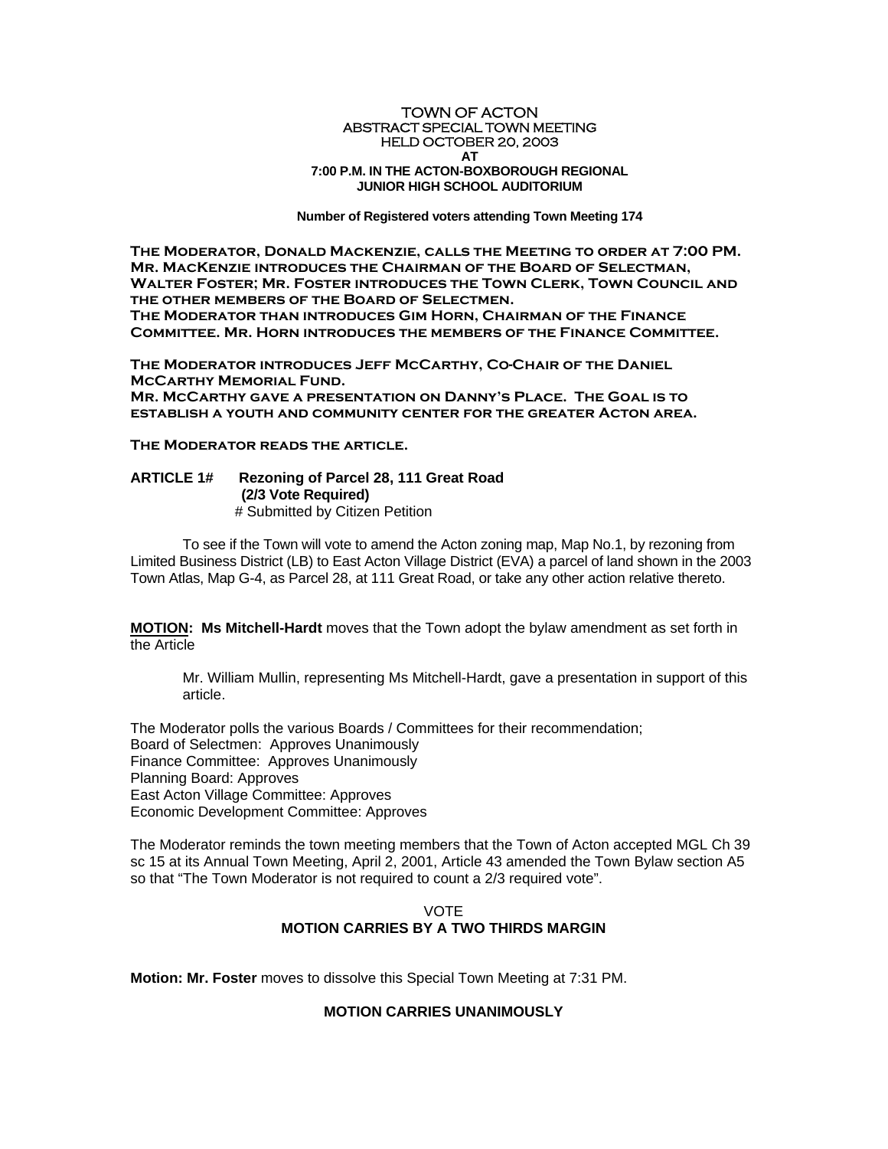## TOWN OF ACTON ABSTRACT SPECIAL TOWN MEETING HELD OCTOBER 20, 2003 **AT 7:00 P.M. IN THE ACTON-BOXBOROUGH REGIONAL JUNIOR HIGH SCHOOL AUDITORIUM**

**Number of Registered voters attending Town Meeting 174** 

 **The Moderator, Donald Mackenzie, calls the Meeting to order at 7:00 PM. Mr. MacKenzie introduces the Chairman of the Board of Selectman, Walter Foster; Mr. Foster introduces the Town Clerk, Town Council and the other members of the Board of Selectmen. The Moderator than introduces Gim Horn, Chairman of the Finance Committee. Mr. Horn introduces the members of the Finance Committee.** 

**The Moderator introduces Jeff McCarthy, Co-Chair of the Daniel McCarthy Memorial Fund. Mr. McCarthy gave a presentation on Danny's Place. The Goal is to establish a youth and community center for the greater Acton area.** 

**The Moderator reads the article.** 

## **ARTICLE 1# Rezoning of Parcel 28, 111 Great Road (2/3 Vote Required)**  # Submitted by Citizen Petition

To see if the Town will vote to amend the Acton zoning map, Map No.1, by rezoning from Limited Business District (LB) to East Acton Village District (EVA) a parcel of land shown in the 2003 Town Atlas, Map G-4, as Parcel 28, at 111 Great Road, or take any other action relative thereto.

**MOTION: Ms Mitchell-Hardt** moves that the Town adopt the bylaw amendment as set forth in the Article

Mr. William Mullin, representing Ms Mitchell-Hardt, gave a presentation in support of this article.

The Moderator polls the various Boards / Committees for their recommendation; Board of Selectmen: Approves Unanimously Finance Committee: Approves Unanimously Planning Board: Approves East Acton Village Committee: Approves Economic Development Committee: Approves

The Moderator reminds the town meeting members that the Town of Acton accepted MGL Ch 39 sc 15 at its Annual Town Meeting, April 2, 2001, Article 43 amended the Town Bylaw section A5 so that "The Town Moderator is not required to count a 2/3 required vote".

## VOTE **MOTION CARRIES BY A TWO THIRDS MARGIN**

**Motion: Mr. Foster** moves to dissolve this Special Town Meeting at 7:31 PM.

## **MOTION CARRIES UNANIMOUSLY**